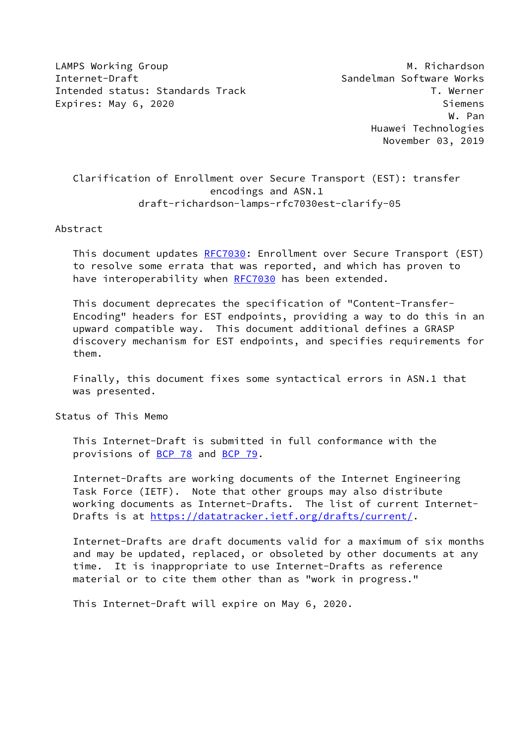LAMPS Working Group **M. Richardson** Internet-Draft Sandelman Software Works Intended status: Standards Track T. Werner Expires: May 6, 2020 Siemens

 W. Pan Huawei Technologies November 03, 2019

# Clarification of Enrollment over Secure Transport (EST): transfer encodings and ASN.1 draft-richardson-lamps-rfc7030est-clarify-05

#### Abstract

 This document updates [RFC7030](https://datatracker.ietf.org/doc/pdf/rfc7030): Enrollment over Secure Transport (EST) to resolve some errata that was reported, and which has proven to have interoperability when [RFC7030](https://datatracker.ietf.org/doc/pdf/rfc7030) has been extended.

 This document deprecates the specification of "Content-Transfer- Encoding" headers for EST endpoints, providing a way to do this in an upward compatible way. This document additional defines a GRASP discovery mechanism for EST endpoints, and specifies requirements for them.

 Finally, this document fixes some syntactical errors in ASN.1 that was presented.

Status of This Memo

 This Internet-Draft is submitted in full conformance with the provisions of [BCP 78](https://datatracker.ietf.org/doc/pdf/bcp78) and [BCP 79](https://datatracker.ietf.org/doc/pdf/bcp79).

 Internet-Drafts are working documents of the Internet Engineering Task Force (IETF). Note that other groups may also distribute working documents as Internet-Drafts. The list of current Internet- Drafts is at<https://datatracker.ietf.org/drafts/current/>.

 Internet-Drafts are draft documents valid for a maximum of six months and may be updated, replaced, or obsoleted by other documents at any time. It is inappropriate to use Internet-Drafts as reference material or to cite them other than as "work in progress."

This Internet-Draft will expire on May 6, 2020.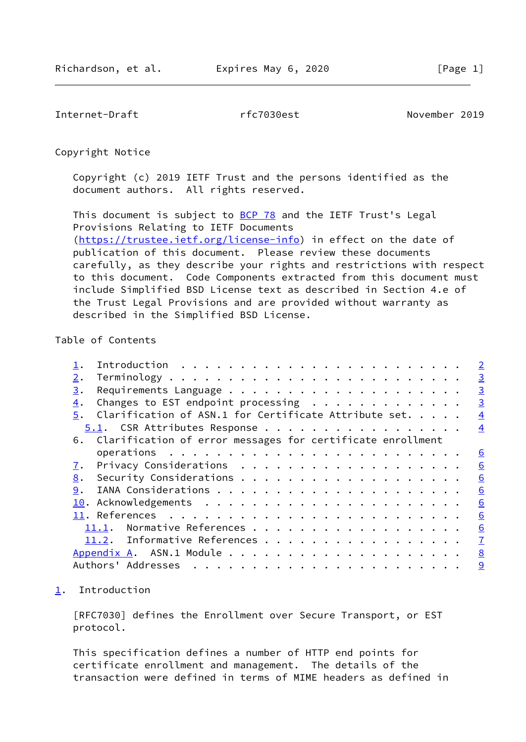<span id="page-1-1"></span>Internet-Draft rfc7030est November 2019

Copyright Notice

 Copyright (c) 2019 IETF Trust and the persons identified as the document authors. All rights reserved.

This document is subject to **[BCP 78](https://datatracker.ietf.org/doc/pdf/bcp78)** and the IETF Trust's Legal Provisions Relating to IETF Documents [\(https://trustee.ietf.org/license-info](https://trustee.ietf.org/license-info)) in effect on the date of publication of this document. Please review these documents carefully, as they describe your rights and restrictions with respect to this document. Code Components extracted from this document must include Simplified BSD License text as described in Section 4.e of the Trust Legal Provisions and are provided without warranty as described in the Simplified BSD License.

## Table of Contents

|    |                                                                      |  |  |  |  |  |  |  |  |  |  |  | $\overline{\phantom{0}}$ 2 |
|----|----------------------------------------------------------------------|--|--|--|--|--|--|--|--|--|--|--|----------------------------|
| 2. |                                                                      |  |  |  |  |  |  |  |  |  |  |  | $\overline{3}$             |
| 3. |                                                                      |  |  |  |  |  |  |  |  |  |  |  | $\overline{3}$             |
| 4. | Changes to EST endpoint processing                                   |  |  |  |  |  |  |  |  |  |  |  | $\overline{3}$             |
|    | 5. Clarification of ASN.1 for Certificate Attribute set.             |  |  |  |  |  |  |  |  |  |  |  | $\overline{4}$             |
|    | 5.1. CSR Attributes Response                                         |  |  |  |  |  |  |  |  |  |  |  | $\overline{4}$             |
|    | 6. Clarification of error messages for certificate enrollment        |  |  |  |  |  |  |  |  |  |  |  |                            |
|    | operations $\ldots \ldots \ldots \ldots \ldots \ldots \ldots \ldots$ |  |  |  |  |  |  |  |  |  |  |  | $\underline{6}$            |
| 7. |                                                                      |  |  |  |  |  |  |  |  |  |  |  | 6                          |
| 8. |                                                                      |  |  |  |  |  |  |  |  |  |  |  | 6                          |
| 9. |                                                                      |  |  |  |  |  |  |  |  |  |  |  | 6                          |
|    |                                                                      |  |  |  |  |  |  |  |  |  |  |  | 6                          |
|    |                                                                      |  |  |  |  |  |  |  |  |  |  |  | 6                          |
|    | 11.1. Normative References                                           |  |  |  |  |  |  |  |  |  |  |  | 6                          |
|    | 11.2. Informative References                                         |  |  |  |  |  |  |  |  |  |  |  | $\overline{1}$             |
|    |                                                                      |  |  |  |  |  |  |  |  |  |  |  | 8                          |
|    |                                                                      |  |  |  |  |  |  |  |  |  |  |  | 9                          |
|    |                                                                      |  |  |  |  |  |  |  |  |  |  |  |                            |

<span id="page-1-0"></span>[1](#page-1-0). Introduction

 [RFC7030] defines the Enrollment over Secure Transport, or EST protocol.

 This specification defines a number of HTTP end points for certificate enrollment and management. The details of the transaction were defined in terms of MIME headers as defined in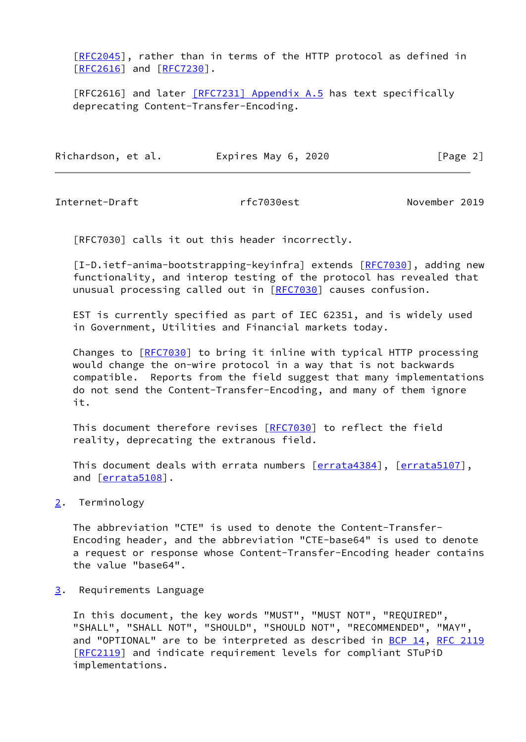[\[RFC2045](https://datatracker.ietf.org/doc/pdf/rfc2045)], rather than in terms of the HTTP protocol as defined in [\[RFC2616](https://datatracker.ietf.org/doc/pdf/rfc2616)] and [[RFC7230](https://datatracker.ietf.org/doc/pdf/rfc7230)].

[RFC2616] and later [\[RFC7231\] Appendix](https://datatracker.ietf.org/doc/pdf/rfc7231#appendix-A.5) A.5 has text specifically deprecating Content-Transfer-Encoding.

| Richardson, et al. | Expires May 6, 2020 | [Page 2] |
|--------------------|---------------------|----------|
|                    |                     |          |

<span id="page-2-1"></span>Internet-Draft rfc7030est November 2019

[RFC7030] calls it out this header incorrectly.

[I-D.ietf-anima-bootstrapping-keyinfra] extends [\[RFC7030](https://datatracker.ietf.org/doc/pdf/rfc7030)], adding new functionality, and interop testing of the protocol has revealed that unusual processing called out in [\[RFC7030](https://datatracker.ietf.org/doc/pdf/rfc7030)] causes confusion.

 EST is currently specified as part of IEC 62351, and is widely used in Government, Utilities and Financial markets today.

Changes to [[RFC7030\]](https://datatracker.ietf.org/doc/pdf/rfc7030) to bring it inline with typical HTTP processing would change the on-wire protocol in a way that is not backwards compatible. Reports from the field suggest that many implementations do not send the Content-Transfer-Encoding, and many of them ignore it.

This document therefore revises [\[RFC7030](https://datatracker.ietf.org/doc/pdf/rfc7030)] to reflect the field reality, deprecating the extranous field.

This document deals with errata numbers [\[errata4384\]](#page-7-2), [[errata5107\]](#page-7-3), and [\[errata5108\]](#page-7-4).

<span id="page-2-0"></span>[2](#page-2-0). Terminology

 The abbreviation "CTE" is used to denote the Content-Transfer- Encoding header, and the abbreviation "CTE-base64" is used to denote a request or response whose Content-Transfer-Encoding header contains the value "base64".

<span id="page-2-2"></span>[3](#page-2-2). Requirements Language

 In this document, the key words "MUST", "MUST NOT", "REQUIRED", "SHALL", "SHALL NOT", "SHOULD", "SHOULD NOT", "RECOMMENDED", "MAY", and "OPTIONAL" are to be interpreted as described in [BCP 14](https://datatracker.ietf.org/doc/pdf/bcp14), [RFC 2119](https://datatracker.ietf.org/doc/pdf/rfc2119) [\[RFC2119](https://datatracker.ietf.org/doc/pdf/rfc2119)] and indicate requirement levels for compliant STuPiD implementations.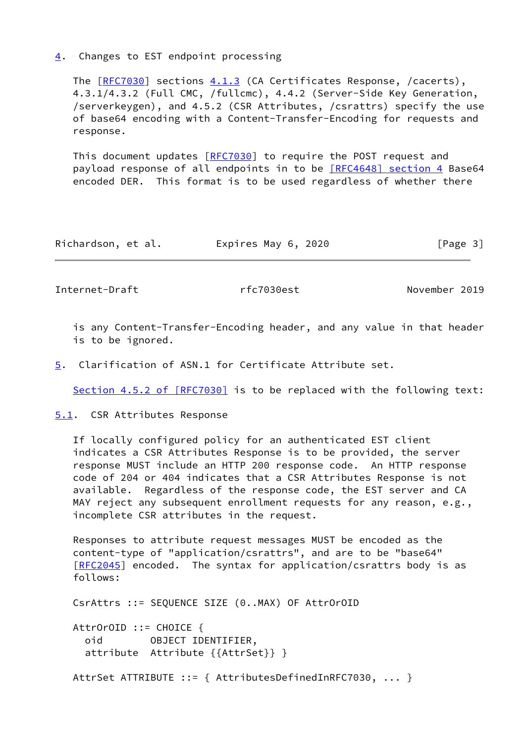<span id="page-3-0"></span>[4](#page-3-0). Changes to EST endpoint processing

 The [\[RFC7030](https://datatracker.ietf.org/doc/pdf/rfc7030)] sections 4.1.3 (CA Certificates Response, /cacerts), 4.3.1/4.3.2 (Full CMC, /fullcmc), 4.4.2 (Server-Side Key Generation, /serverkeygen), and 4.5.2 (CSR Attributes, /csrattrs) specify the use of base64 encoding with a Content-Transfer-Encoding for requests and response.

This document updates [[RFC7030](https://datatracker.ietf.org/doc/pdf/rfc7030)] to require the POST request and payload response of all endpoints in to be [\[RFC4648\] section](https://datatracker.ietf.org/doc/pdf/rfc4648#section-4) 4 Base64 encoded DER. This format is to be used regardless of whether there

| Richardson, et al. | Expires May 6, 2020 | [Page 3] |
|--------------------|---------------------|----------|
|--------------------|---------------------|----------|

<span id="page-3-2"></span>Internet-Draft rfc7030est November 2019

 is any Content-Transfer-Encoding header, and any value in that header is to be ignored.

<span id="page-3-1"></span>[5](#page-3-1). Clarification of ASN.1 for Certificate Attribute set.

Section [4.5.2 of \[RFC7030\]](https://datatracker.ietf.org/doc/pdf/rfc7030#section-4.5.2) is to be replaced with the following text:

<span id="page-3-3"></span>[5.1](#page-3-3). CSR Attributes Response

 If locally configured policy for an authenticated EST client indicates a CSR Attributes Response is to be provided, the server response MUST include an HTTP 200 response code. An HTTP response code of 204 or 404 indicates that a CSR Attributes Response is not available. Regardless of the response code, the EST server and CA MAY reject any subsequent enrollment requests for any reason, e.g., incomplete CSR attributes in the request.

 Responses to attribute request messages MUST be encoded as the content-type of "application/csrattrs", and are to be "base64" [\[RFC2045](https://datatracker.ietf.org/doc/pdf/rfc2045)] encoded. The syntax for application/csrattrs body is as follows:

CsrAttrs ::= SEQUENCE SIZE (0..MAX) OF AttrOrOID

 AttrOrOID ::= CHOICE { oid OBJECT IDENTIFIER, attribute Attribute {{AttrSet}} }

AttrSet ATTRIBUTE ::= { AttributesDefinedInRFC7030, ... }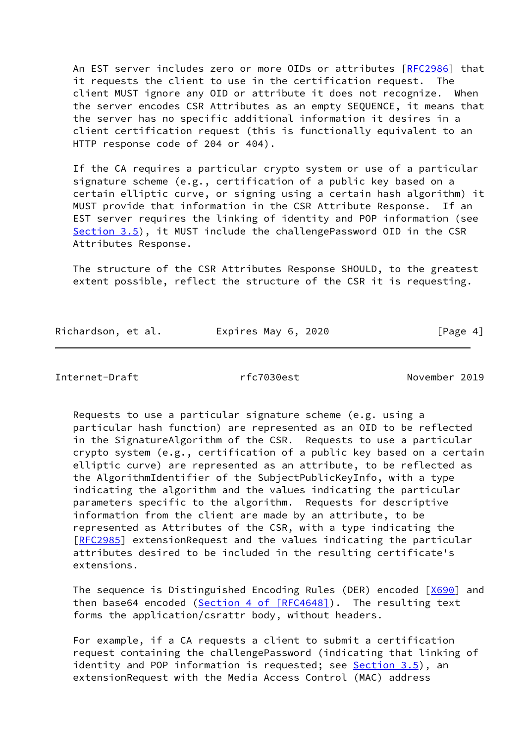An EST server includes zero or more OIDs or attributes [\[RFC2986](https://datatracker.ietf.org/doc/pdf/rfc2986)] that it requests the client to use in the certification request. The client MUST ignore any OID or attribute it does not recognize. When the server encodes CSR Attributes as an empty SEQUENCE, it means that the server has no specific additional information it desires in a client certification request (this is functionally equivalent to an HTTP response code of 204 or 404).

 If the CA requires a particular crypto system or use of a particular signature scheme (e.g., certification of a public key based on a certain elliptic curve, or signing using a certain hash algorithm) it MUST provide that information in the CSR Attribute Response. If an EST server requires the linking of identity and POP information (see Section 3.5), it MUST include the challengePassword OID in the CSR Attributes Response.

 The structure of the CSR Attributes Response SHOULD, to the greatest extent possible, reflect the structure of the CSR it is requesting.

| Richardson, et al. | Expires May 6, 2020 | [Page 4] |
|--------------------|---------------------|----------|
|                    |                     |          |

Internet-Draft rfc7030est November 2019

 Requests to use a particular signature scheme (e.g. using a particular hash function) are represented as an OID to be reflected in the SignatureAlgorithm of the CSR. Requests to use a particular crypto system (e.g., certification of a public key based on a certain elliptic curve) are represented as an attribute, to be reflected as the AlgorithmIdentifier of the SubjectPublicKeyInfo, with a type indicating the algorithm and the values indicating the particular parameters specific to the algorithm. Requests for descriptive information from the client are made by an attribute, to be represented as Attributes of the CSR, with a type indicating the [\[RFC2985](https://datatracker.ietf.org/doc/pdf/rfc2985)] extensionRequest and the values indicating the particular attributes desired to be included in the resulting certificate's extensions.

The sequence is Distinguished Encoding Rules (DER) encoded [[X690\]](#page-7-5) and then base64 encoded (Section [4 of \[RFC4648\]](https://datatracker.ietf.org/doc/pdf/rfc4648#section-4)). The resulting text forms the application/csrattr body, without headers.

 For example, if a CA requests a client to submit a certification request containing the challengePassword (indicating that linking of identity and POP information is requested; see Section 3.5), an extensionRequest with the Media Access Control (MAC) address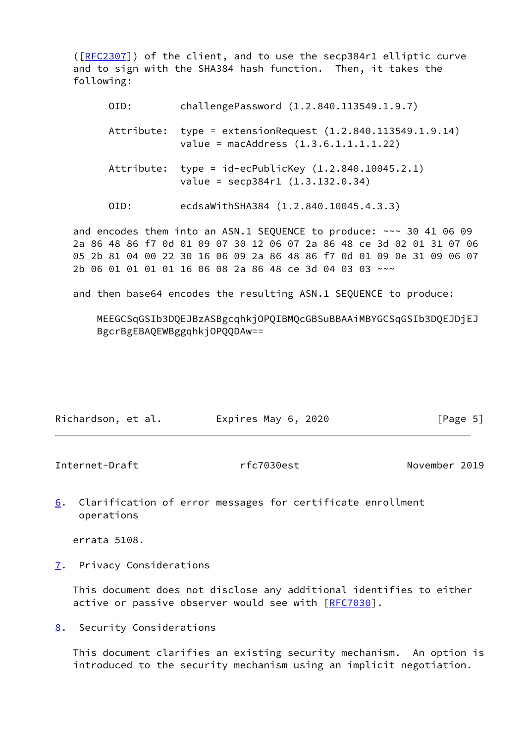([\[RFC2307](https://datatracker.ietf.org/doc/pdf/rfc2307)]) of the client, and to use the secp384r1 elliptic curve and to sign with the SHA384 hash function. Then, it takes the following:

| OID:       | challengePassword (1.2.840.113549.1.9.7)                                                     |
|------------|----------------------------------------------------------------------------------------------|
| Attribute: | type = extensionRequest $(1.2.840.113549.1.9.14)$<br>value = $machddress (1.3.6.1.1.1.1.22)$ |
| Attribute: | type = $id-ecPublicKey (1.2.840.10045.2.1)$<br>value = $\sec p384r1 (1.3.132.0.34)$          |
| OID:       | ecdsaWithSHA384 (1.2.840.10045.4.3.3)                                                        |

 and encodes them into an ASN.1 SEQUENCE to produce: ~~~ 30 41 06 09 2a 86 48 86 f7 0d 01 09 07 30 12 06 07 2a 86 48 ce 3d 02 01 31 07 06 05 2b 81 04 00 22 30 16 06 09 2a 86 48 86 f7 0d 01 09 0e 31 09 06 07 2b 06 01 01 01 01 16 06 08 2a 86 48 ce 3d 04 03 03 ~~~

and then base64 encodes the resulting ASN.1 SEQUENCE to produce:

 MEEGCSqGSIb3DQEJBzASBgcqhkjOPQIBMQcGBSuBBAAiMBYGCSqGSIb3DQEJDjEJ BgcrBgEBAQEWBggqhkjOPQQDAw==

| Richardson, et al. | Expires May 6, 2020 | [Page 5] |
|--------------------|---------------------|----------|
|                    |                     |          |

<span id="page-5-0"></span>Internet-Draft rfc7030est November 2019

<span id="page-5-3"></span>[6](#page-5-3). Clarification of error messages for certificate enrollment operations

errata 5108.

<span id="page-5-1"></span>[7](#page-5-1). Privacy Considerations

 This document does not disclose any additional identifies to either active or passive observer would see with [[RFC7030](https://datatracker.ietf.org/doc/pdf/rfc7030)].

<span id="page-5-2"></span>[8](#page-5-2). Security Considerations

 This document clarifies an existing security mechanism. An option is introduced to the security mechanism using an implicit negotiation.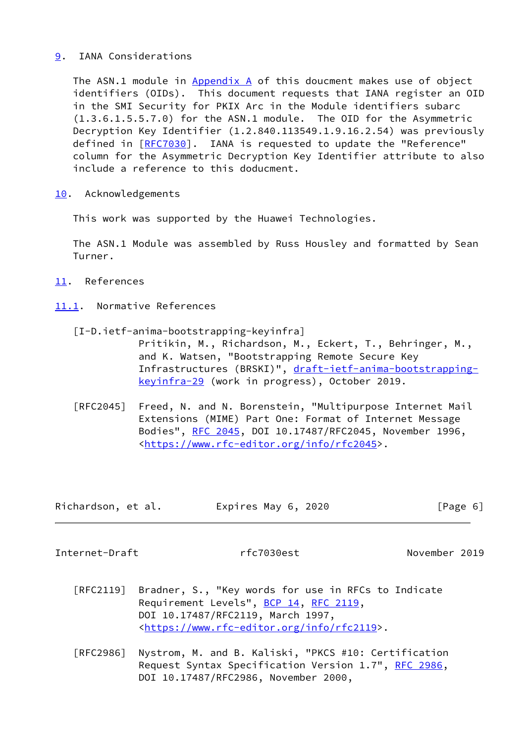### <span id="page-6-0"></span>[9](#page-6-0). IANA Considerations

 The ASN.1 module in [Appendix A](#page-8-0) of this doucment makes use of object identifiers (OIDs). This document requests that IANA register an OID in the SMI Security for PKIX Arc in the Module identifiers subarc (1.3.6.1.5.5.7.0) for the ASN.1 module. The OID for the Asymmetric Decryption Key Identifier (1.2.840.113549.1.9.16.2.54) was previously defined in [[RFC7030\]](https://datatracker.ietf.org/doc/pdf/rfc7030). IANA is requested to update the "Reference" column for the Asymmetric Decryption Key Identifier attribute to also include a reference to this doducment.

<span id="page-6-1"></span>[10.](#page-6-1) Acknowledgements

This work was supported by the Huawei Technologies.

 The ASN.1 Module was assembled by Russ Housley and formatted by Sean Turner.

- <span id="page-6-2"></span>[11.](#page-6-2) References
- <span id="page-6-3"></span>[11.1](#page-6-3). Normative References
	- [I-D.ietf-anima-bootstrapping-keyinfra] Pritikin, M., Richardson, M., Eckert, T., Behringer, M., and K. Watsen, "Bootstrapping Remote Secure Key Infrastructures (BRSKI)", [draft-ietf-anima-bootstrapping](https://datatracker.ietf.org/doc/pdf/draft-ietf-anima-bootstrapping-keyinfra-29) [keyinfra-29](https://datatracker.ietf.org/doc/pdf/draft-ietf-anima-bootstrapping-keyinfra-29) (work in progress), October 2019.
	- [RFC2045] Freed, N. and N. Borenstein, "Multipurpose Internet Mail Extensions (MIME) Part One: Format of Internet Message Bodies", [RFC 2045,](https://datatracker.ietf.org/doc/pdf/rfc2045) DOI 10.17487/RFC2045, November 1996, <[https://www.rfc-editor.org/info/rfc2045>](https://www.rfc-editor.org/info/rfc2045).

| Richardson, et al. |  | Expires May 6, 2020 | [Page 6] |
|--------------------|--|---------------------|----------|
|--------------------|--|---------------------|----------|

<span id="page-6-4"></span>Internet-Draft rfc7030est November 2019

- [RFC2119] Bradner, S., "Key words for use in RFCs to Indicate Requirement Levels", [BCP 14](https://datatracker.ietf.org/doc/pdf/bcp14), [RFC 2119](https://datatracker.ietf.org/doc/pdf/rfc2119), DOI 10.17487/RFC2119, March 1997, <[https://www.rfc-editor.org/info/rfc2119>](https://www.rfc-editor.org/info/rfc2119).
- [RFC2986] Nystrom, M. and B. Kaliski, "PKCS #10: Certification Request Syntax Specification Version 1.7", [RFC 2986](https://datatracker.ietf.org/doc/pdf/rfc2986), DOI 10.17487/RFC2986, November 2000,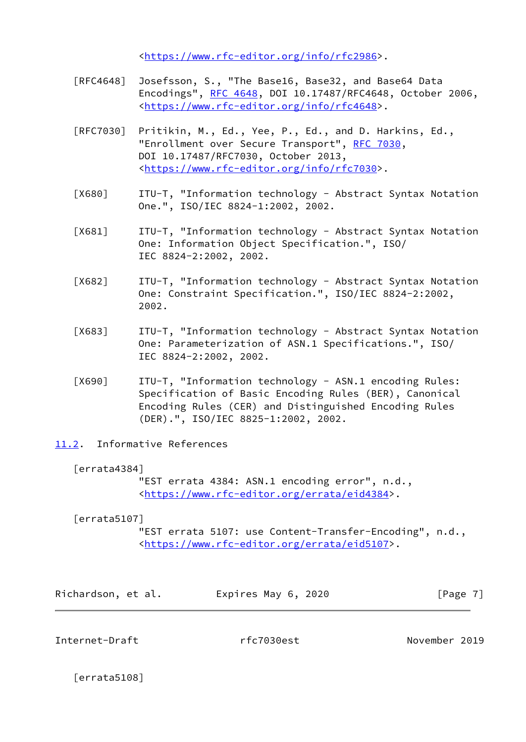<[https://www.rfc-editor.org/info/rfc2986>](https://www.rfc-editor.org/info/rfc2986).

- [RFC4648] Josefsson, S., "The Base16, Base32, and Base64 Data Encodings", [RFC 4648,](https://datatracker.ietf.org/doc/pdf/rfc4648) DOI 10.17487/RFC4648, October 2006, <[https://www.rfc-editor.org/info/rfc4648>](https://www.rfc-editor.org/info/rfc4648).
- [RFC7030] Pritikin, M., Ed., Yee, P., Ed., and D. Harkins, Ed., "Enrollment over Secure Transport", [RFC 7030,](https://datatracker.ietf.org/doc/pdf/rfc7030) DOI 10.17487/RFC7030, October 2013, <[https://www.rfc-editor.org/info/rfc7030>](https://www.rfc-editor.org/info/rfc7030).
- <span id="page-7-6"></span> [X680] ITU-T, "Information technology - Abstract Syntax Notation One.", ISO/IEC 8824-1:2002, 2002.
- [X681] ITU-T, "Information technology Abstract Syntax Notation One: Information Object Specification.", ISO/ IEC 8824-2:2002, 2002.
- [X682] ITU-T, "Information technology Abstract Syntax Notation One: Constraint Specification.", ISO/IEC 8824-2:2002, 2002.
- <span id="page-7-7"></span> [X683] ITU-T, "Information technology - Abstract Syntax Notation One: Parameterization of ASN.1 Specifications.", ISO/ IEC 8824-2:2002, 2002.
- <span id="page-7-5"></span> [X690] ITU-T, "Information technology - ASN.1 encoding Rules: Specification of Basic Encoding Rules (BER), Canonical Encoding Rules (CER) and Distinguished Encoding Rules (DER).", ISO/IEC 8825-1:2002, 2002.
- <span id="page-7-0"></span>[11.2](#page-7-0). Informative References

#### <span id="page-7-2"></span>[errata4384]

 "EST errata 4384: ASN.1 encoding error", n.d., <[https://www.rfc-editor.org/errata/eid4384>](https://www.rfc-editor.org/errata/eid4384).

#### <span id="page-7-3"></span>[errata5107]

 "EST errata 5107: use Content-Transfer-Encoding", n.d., <[https://www.rfc-editor.org/errata/eid5107>](https://www.rfc-editor.org/errata/eid5107).

| Richardson, et al. | Expires May 6, 2020 | [Page 7] |
|--------------------|---------------------|----------|
|--------------------|---------------------|----------|

<span id="page-7-1"></span>Internet-Draft rfc7030est November 2019

<span id="page-7-4"></span>[errata5108]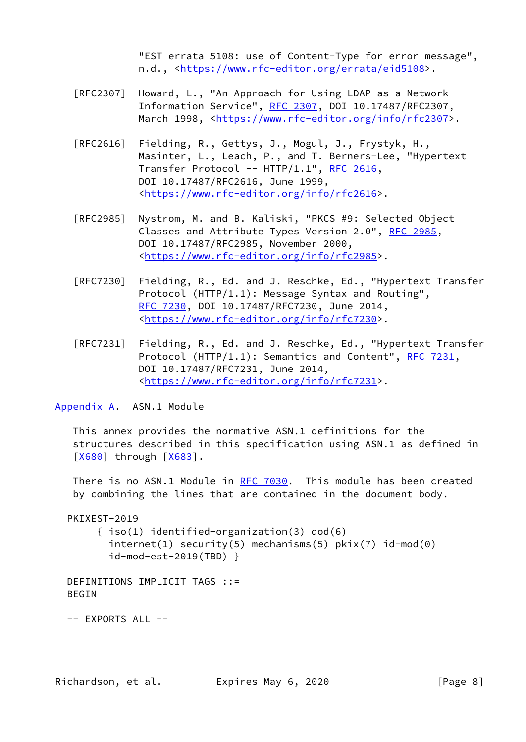"EST errata 5108: use of Content-Type for error message", n.d., [<https://www.rfc-editor.org/errata/eid5108>](https://www.rfc-editor.org/errata/eid5108).

- [RFC2307] Howard, L., "An Approach for Using LDAP as a Network Information Service", [RFC 2307](https://datatracker.ietf.org/doc/pdf/rfc2307), DOI 10.17487/RFC2307, March 1998, [<https://www.rfc-editor.org/info/rfc2307](https://www.rfc-editor.org/info/rfc2307)>.
- [RFC2616] Fielding, R., Gettys, J., Mogul, J., Frystyk, H., Masinter, L., Leach, P., and T. Berners-Lee, "Hypertext Transfer Protocol -- HTTP/1.1", [RFC 2616,](https://datatracker.ietf.org/doc/pdf/rfc2616) DOI 10.17487/RFC2616, June 1999, <[https://www.rfc-editor.org/info/rfc2616>](https://www.rfc-editor.org/info/rfc2616).
- [RFC2985] Nystrom, M. and B. Kaliski, "PKCS #9: Selected Object Classes and Attribute Types Version 2.0", [RFC 2985](https://datatracker.ietf.org/doc/pdf/rfc2985), DOI 10.17487/RFC2985, November 2000, <[https://www.rfc-editor.org/info/rfc2985>](https://www.rfc-editor.org/info/rfc2985).
- [RFC7230] Fielding, R., Ed. and J. Reschke, Ed., "Hypertext Transfer Protocol (HTTP/1.1): Message Syntax and Routing", [RFC 7230,](https://datatracker.ietf.org/doc/pdf/rfc7230) DOI 10.17487/RFC7230, June 2014, <[https://www.rfc-editor.org/info/rfc7230>](https://www.rfc-editor.org/info/rfc7230).
- [RFC7231] Fielding, R., Ed. and J. Reschke, Ed., "Hypertext Transfer Protocol (HTTP/1.1): Semantics and Content", [RFC 7231](https://datatracker.ietf.org/doc/pdf/rfc7231), DOI 10.17487/RFC7231, June 2014, <[https://www.rfc-editor.org/info/rfc7231>](https://www.rfc-editor.org/info/rfc7231).

<span id="page-8-0"></span>[Appendix A.](#page-8-0) ASN.1 Module

 This annex provides the normative ASN.1 definitions for the structures described in this specification using ASN.1 as defined in  $[X680]$  $[X680]$  through  $[X683]$  $[X683]$ .

There is no ASN.1 Module in [RFC 7030.](https://datatracker.ietf.org/doc/pdf/rfc7030) This module has been created by combining the lines that are contained in the document body.

PKIXEST-2019

 { iso(1) identified-organization(3) dod(6) internet(1) security(5) mechanisms(5) pkix(7) id-mod(0) id-mod-est-2019(TBD) }

 DEFINITIONS IMPLICIT TAGS ::= BEGIN

-- EXPORTS ALL --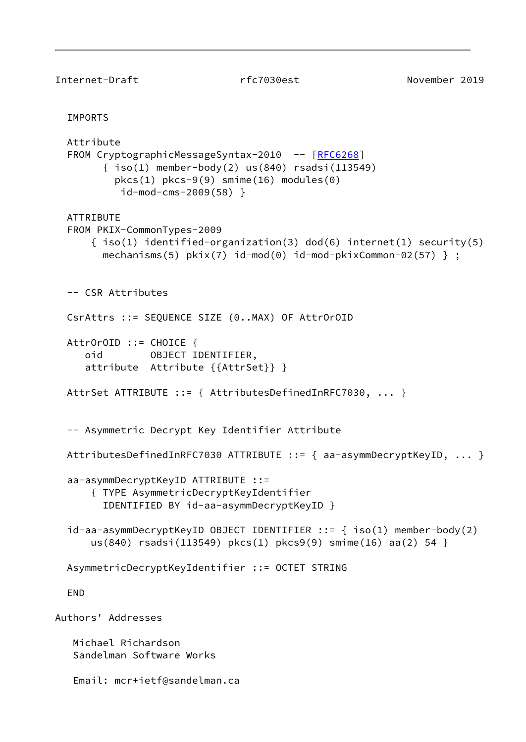```
Internet-Draft rfc7030est November 2019
  IMPORTS
  Attribute
 [RFC6268]
       \{ iso(1) member-body(2) us(840) rsadsi(113549)
          pkcs(1) pkcs-9(9) smime(16) modules(0)
           id-mod-cms-2009(58) }
  ATTRIBUTE
  FROM PKIX-CommonTypes-2009
     \{ iso(1) identified-organization(3) dod(6) internet(1) security(5)
       mechanisms(5) pkix(7) id-mod(0) id-mod-pkixCommon-02(57) } ;
  -- CSR Attributes
  CsrAttrs ::= SEQUENCE SIZE (0..MAX) OF AttrOrOID
  AttrOrOID ::= CHOICE {
     oid OBJECT IDENTIFIER,
     attribute Attribute {{AttrSet}} }
  AttrSet ATTRIBUTE ::= { AttributesDefinedInRFC7030, ... }
  -- Asymmetric Decrypt Key Identifier Attribute
  AttributesDefinedInRFC7030 ATTRIBUTE ::= { aa-asymmDecryptKeyID, ... }
  aa-asymmDecryptKeyID ATTRIBUTE ::=
      { TYPE AsymmetricDecryptKeyIdentifier
        IDENTIFIED BY id-aa-asymmDecryptKeyID }
  id-aa-asymmDecryptKeyID OBJECT IDENTIFIER ::= { iso(1) member-body(2)
      us(840) rsadsi(113549) pkcs(1) pkcs9(9) smime(16) aa(2) 54 }
  AsymmetricDecryptKeyIdentifier ::= OCTET STRING
  END
Authors' Addresses
   Michael Richardson
    Sandelman Software Works
   Email: mcr+ietf@sandelman.ca
```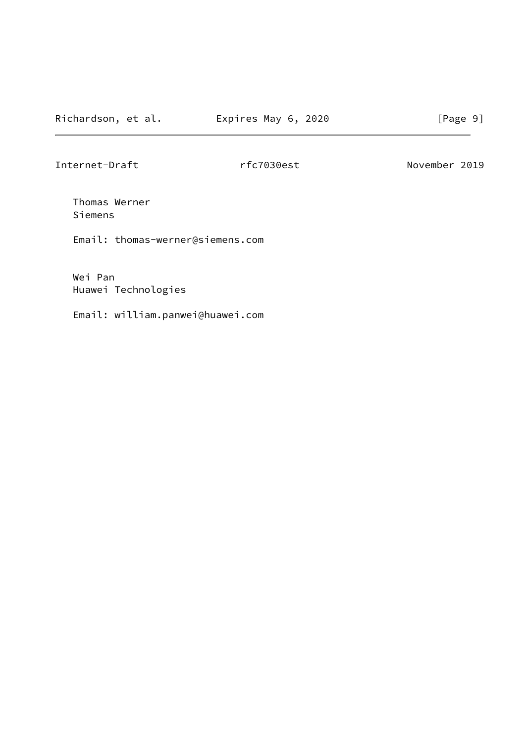Internet-Draft rfc7030est November 2019

 Thomas Werner Siemens

Email: thomas-werner@siemens.com

 Wei Pan Huawei Technologies

Email: william.panwei@huawei.com